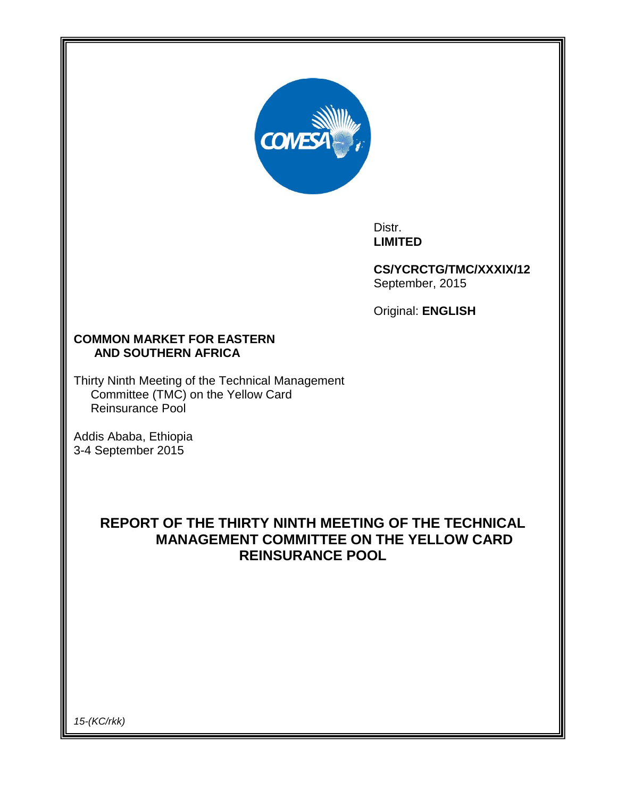

Distr. **LIMITED**

**CS/YCRCTG/TMC/XXXIX/12** September, 2015

Original: **ENGLISH**

## **COMMON MARKET FOR EASTERN AND SOUTHERN AFRICA**

Thirty Ninth Meeting of the Technical Management Committee (TMC) on the Yellow Card Reinsurance Pool

Addis Ababa, Ethiopia 3-4 September 2015

# **REPORT OF THE THIRTY NINTH MEETING OF THE TECHNICAL MANAGEMENT COMMITTEE ON THE YELLOW CARD REINSURANCE POOL**

*15-(KC/rkk)*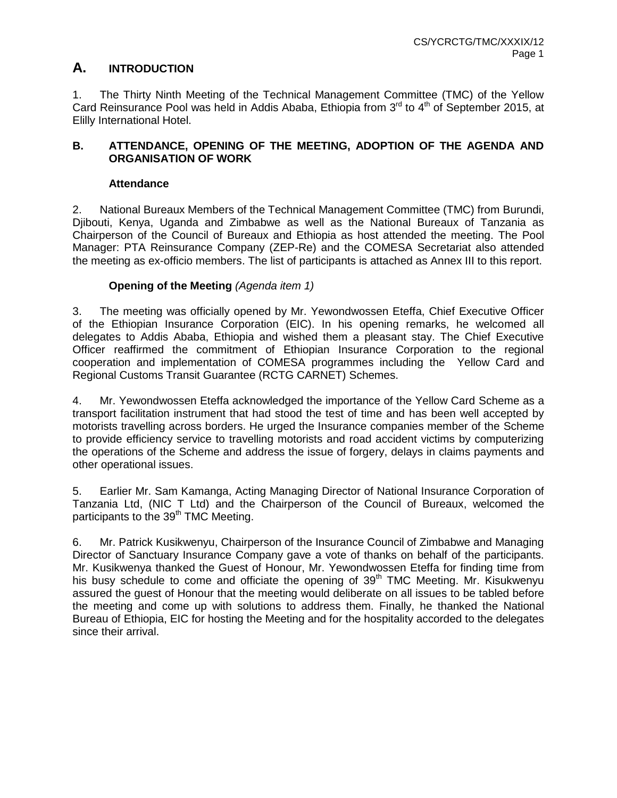## **A. INTRODUCTION**

1. The Thirty Ninth Meeting of the Technical Management Committee (TMC) of the Yellow Card Reinsurance Pool was held in Addis Ababa, Ethiopia from  $3<sup>rd</sup>$  to  $4<sup>th</sup>$  of September 2015, at Elilly International Hotel.

## **B. ATTENDANCE, OPENING OF THE MEETING, ADOPTION OF THE AGENDA AND ORGANISATION OF WORK**

## **Attendance**

2. National Bureaux Members of the Technical Management Committee (TMC) from Burundi, Djibouti, Kenya, Uganda and Zimbabwe as well as the National Bureaux of Tanzania as Chairperson of the Council of Bureaux and Ethiopia as host attended the meeting. The Pool Manager: PTA Reinsurance Company (ZEP-Re) and the COMESA Secretariat also attended the meeting as ex-officio members. The list of participants is attached as Annex III to this report.

## **Opening of the Meeting** *(Agenda item 1)*

3. The meeting was officially opened by Mr. Yewondwossen Eteffa, Chief Executive Officer of the Ethiopian Insurance Corporation (EIC). In his opening remarks, he welcomed all delegates to Addis Ababa, Ethiopia and wished them a pleasant stay. The Chief Executive Officer reaffirmed the commitment of Ethiopian Insurance Corporation to the regional cooperation and implementation of COMESA programmes including the Yellow Card and Regional Customs Transit Guarantee (RCTG CARNET) Schemes.

4. Mr. Yewondwossen Eteffa acknowledged the importance of the Yellow Card Scheme as a transport facilitation instrument that had stood the test of time and has been well accepted by motorists travelling across borders. He urged the Insurance companies member of the Scheme to provide efficiency service to travelling motorists and road accident victims by computerizing the operations of the Scheme and address the issue of forgery, delays in claims payments and other operational issues.

5. Earlier Mr. Sam Kamanga, Acting Managing Director of National Insurance Corporation of Tanzania Ltd, (NIC T Ltd) and the Chairperson of the Council of Bureaux, welcomed the participants to the 39<sup>th</sup> TMC Meeting.

6. Mr. Patrick Kusikwenyu, Chairperson of the Insurance Council of Zimbabwe and Managing Director of Sanctuary Insurance Company gave a vote of thanks on behalf of the participants. Mr. Kusikwenya thanked the Guest of Honour, Mr. Yewondwossen Eteffa for finding time from his busy schedule to come and officiate the opening of  $39<sup>th</sup>$  TMC Meeting. Mr. Kisukwenyu assured the guest of Honour that the meeting would deliberate on all issues to be tabled before the meeting and come up with solutions to address them. Finally, he thanked the National Bureau of Ethiopia, EIC for hosting the Meeting and for the hospitality accorded to the delegates since their arrival.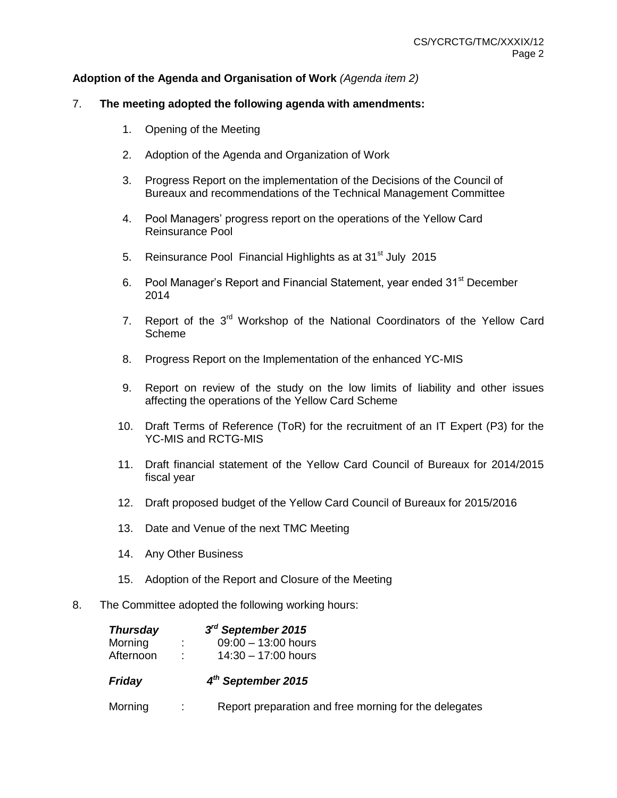## **Adoption of the Agenda and Organisation of Work** *(Agenda item 2)*

#### 7. **The meeting adopted the following agenda with amendments:**

- 1. Opening of the Meeting
- 2. Adoption of the Agenda and Organization of Work
- 3. Progress Report on the implementation of the Decisions of the Council of Bureaux and recommendations of the Technical Management Committee
- 4. Pool Managers' progress report on the operations of the Yellow Card Reinsurance Pool
- 5. Reinsurance Pool Financial Highlights as at 31<sup>st</sup> July 2015
- 6. Pool Manager's Report and Financial Statement, year ended 31<sup>st</sup> December 2014
- 7. Report of the 3<sup>rd</sup> Workshop of the National Coordinators of the Yellow Card Scheme
- 8. Progress Report on the Implementation of the enhanced YC-MIS
- 9. Report on review of the study on the low limits of liability and other issues affecting the operations of the Yellow Card Scheme
- 10. Draft Terms of Reference (ToR) for the recruitment of an IT Expert (P3) for the YC-MIS and RCTG-MIS
- 11. Draft financial statement of the Yellow Card Council of Bureaux for 2014/2015 fiscal year
- 12. Draft proposed budget of the Yellow Card Council of Bureaux for 2015/2016
- 13. Date and Venue of the next TMC Meeting
- 14. Any Other Business
- 15. Adoption of the Report and Closure of the Meeting
- 8. The Committee adopted the following working hours:

| <b>Thursday</b> | $3rd$ September 2015                                  |
|-----------------|-------------------------------------------------------|
| Morning         | $09:00 - 13:00$ hours                                 |
| Afternoon       | $14:30 - 17:00$ hours                                 |
| Friday          | $4th$ September 2015                                  |
| Morning         | Report preparation and free morning for the delegates |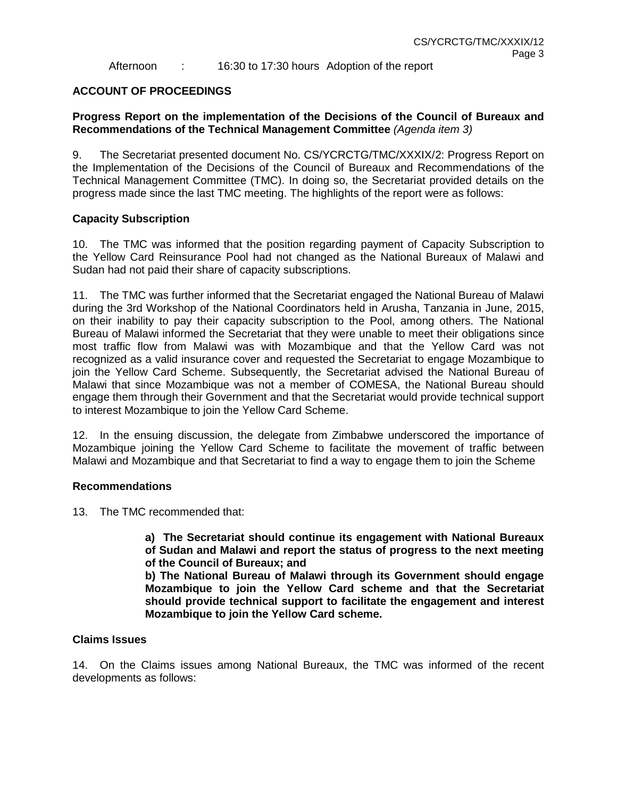Afternoon : 16:30 to 17:30 hours Adoption of the report

### **ACCOUNT OF PROCEEDINGS**

### **Progress Report on the implementation of the Decisions of the Council of Bureaux and Recommendations of the Technical Management Committee** *(Agenda item 3)*

9. The Secretariat presented document No. CS/YCRCTG/TMC/XXXIX/2: Progress Report on the Implementation of the Decisions of the Council of Bureaux and Recommendations of the Technical Management Committee (TMC). In doing so, the Secretariat provided details on the progress made since the last TMC meeting. The highlights of the report were as follows:

### **Capacity Subscription**

10. The TMC was informed that the position regarding payment of Capacity Subscription to the Yellow Card Reinsurance Pool had not changed as the National Bureaux of Malawi and Sudan had not paid their share of capacity subscriptions.

11. The TMC was further informed that the Secretariat engaged the National Bureau of Malawi during the 3rd Workshop of the National Coordinators held in Arusha, Tanzania in June, 2015, on their inability to pay their capacity subscription to the Pool, among others. The National Bureau of Malawi informed the Secretariat that they were unable to meet their obligations since most traffic flow from Malawi was with Mozambique and that the Yellow Card was not recognized as a valid insurance cover and requested the Secretariat to engage Mozambique to join the Yellow Card Scheme. Subsequently, the Secretariat advised the National Bureau of Malawi that since Mozambique was not a member of COMESA, the National Bureau should engage them through their Government and that the Secretariat would provide technical support to interest Mozambique to join the Yellow Card Scheme.

12. In the ensuing discussion, the delegate from Zimbabwe underscored the importance of Mozambique joining the Yellow Card Scheme to facilitate the movement of traffic between Malawi and Mozambique and that Secretariat to find a way to engage them to join the Scheme

#### **Recommendations**

13. The TMC recommended that:

**a) The Secretariat should continue its engagement with National Bureaux of Sudan and Malawi and report the status of progress to the next meeting of the Council of Bureaux; and** 

**b) The National Bureau of Malawi through its Government should engage Mozambique to join the Yellow Card scheme and that the Secretariat should provide technical support to facilitate the engagement and interest Mozambique to join the Yellow Card scheme.**

#### **Claims Issues**

14. On the Claims issues among National Bureaux, the TMC was informed of the recent developments as follows: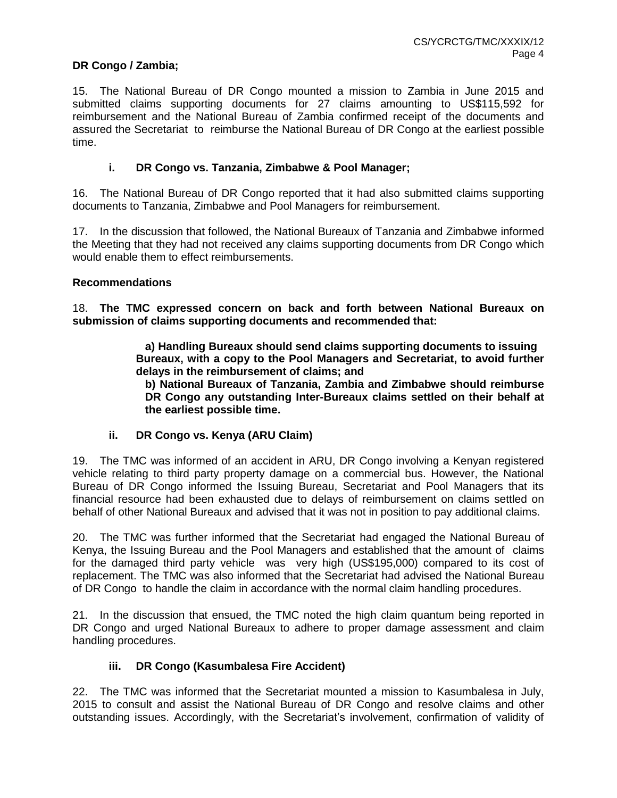## **DR Congo / Zambia;**

15. The National Bureau of DR Congo mounted a mission to Zambia in June 2015 and submitted claims supporting documents for 27 claims amounting to US\$115,592 for reimbursement and the National Bureau of Zambia confirmed receipt of the documents and assured the Secretariat to reimburse the National Bureau of DR Congo at the earliest possible time.

### **i. DR Congo vs. Tanzania, Zimbabwe & Pool Manager;**

16. The National Bureau of DR Congo reported that it had also submitted claims supporting documents to Tanzania, Zimbabwe and Pool Managers for reimbursement.

17. In the discussion that followed, the National Bureaux of Tanzania and Zimbabwe informed the Meeting that they had not received any claims supporting documents from DR Congo which would enable them to effect reimbursements.

#### **Recommendations**

18. **The TMC expressed concern on back and forth between National Bureaux on submission of claims supporting documents and recommended that:**

> **a) Handling Bureaux should send claims supporting documents to issuing Bureaux, with a copy to the Pool Managers and Secretariat, to avoid further delays in the reimbursement of claims; and**

**b) National Bureaux of Tanzania, Zambia and Zimbabwe should reimburse DR Congo any outstanding Inter-Bureaux claims settled on their behalf at the earliest possible time.**

#### **ii. DR Congo vs. Kenya (ARU Claim)**

19. The TMC was informed of an accident in ARU, DR Congo involving a Kenyan registered vehicle relating to third party property damage on a commercial bus. However, the National Bureau of DR Congo informed the Issuing Bureau, Secretariat and Pool Managers that its financial resource had been exhausted due to delays of reimbursement on claims settled on behalf of other National Bureaux and advised that it was not in position to pay additional claims.

20. The TMC was further informed that the Secretariat had engaged the National Bureau of Kenya, the Issuing Bureau and the Pool Managers and established that the amount of claims for the damaged third party vehicle was very high (US\$195,000) compared to its cost of replacement. The TMC was also informed that the Secretariat had advised the National Bureau of DR Congo to handle the claim in accordance with the normal claim handling procedures.

21. In the discussion that ensued, the TMC noted the high claim quantum being reported in DR Congo and urged National Bureaux to adhere to proper damage assessment and claim handling procedures.

#### **iii. DR Congo (Kasumbalesa Fire Accident)**

22. The TMC was informed that the Secretariat mounted a mission to Kasumbalesa in July, 2015 to consult and assist the National Bureau of DR Congo and resolve claims and other outstanding issues. Accordingly, with the Secretariat's involvement, confirmation of validity of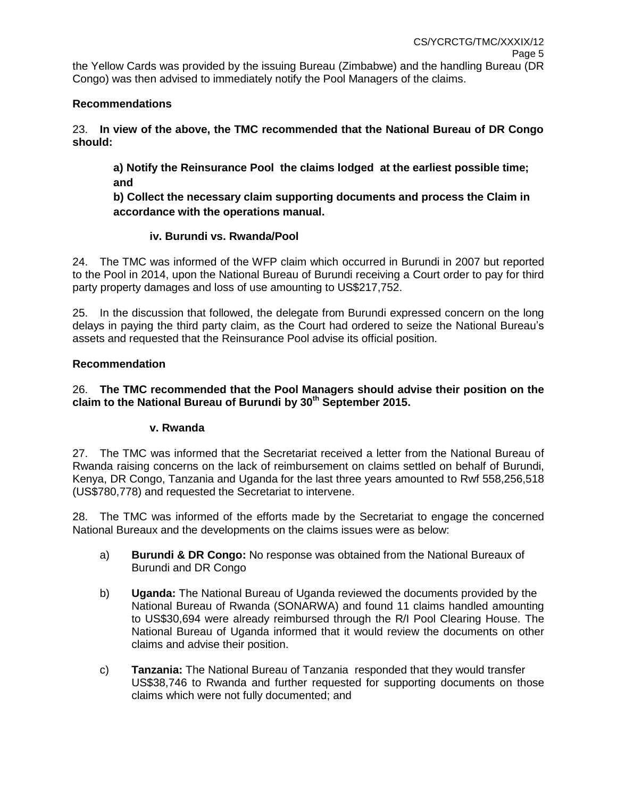## **Recommendations**

23. **In view of the above, the TMC recommended that the National Bureau of DR Congo should:**

**a) Notify the Reinsurance Pool the claims lodged at the earliest possible time; and** 

**b) Collect the necessary claim supporting documents and process the Claim in accordance with the operations manual.**

## **iv. Burundi vs. Rwanda/Pool**

24. The TMC was informed of the WFP claim which occurred in Burundi in 2007 but reported to the Pool in 2014, upon the National Bureau of Burundi receiving a Court order to pay for third party property damages and loss of use amounting to US\$217,752.

25. In the discussion that followed, the delegate from Burundi expressed concern on the long delays in paying the third party claim, as the Court had ordered to seize the National Bureau's assets and requested that the Reinsurance Pool advise its official position.

## **Recommendation**

## 26. **The TMC recommended that the Pool Managers should advise their position on the claim to the National Bureau of Burundi by 30th September 2015.**

## **v. Rwanda**

27. The TMC was informed that the Secretariat received a letter from the National Bureau of Rwanda raising concerns on the lack of reimbursement on claims settled on behalf of Burundi, Kenya, DR Congo, Tanzania and Uganda for the last three years amounted to Rwf 558,256,518 (US\$780,778) and requested the Secretariat to intervene.

28. The TMC was informed of the efforts made by the Secretariat to engage the concerned National Bureaux and the developments on the claims issues were as below:

- a) **Burundi & DR Congo:** No response was obtained from the National Bureaux of Burundi and DR Congo
- b) **Uganda:** The National Bureau of Uganda reviewed the documents provided by the National Bureau of Rwanda (SONARWA) and found 11 claims handled amounting to US\$30,694 were already reimbursed through the R/I Pool Clearing House. The National Bureau of Uganda informed that it would review the documents on other claims and advise their position.
- c) **Tanzania:** The National Bureau of Tanzania responded that they would transfer US\$38,746 to Rwanda and further requested for supporting documents on those claims which were not fully documented; and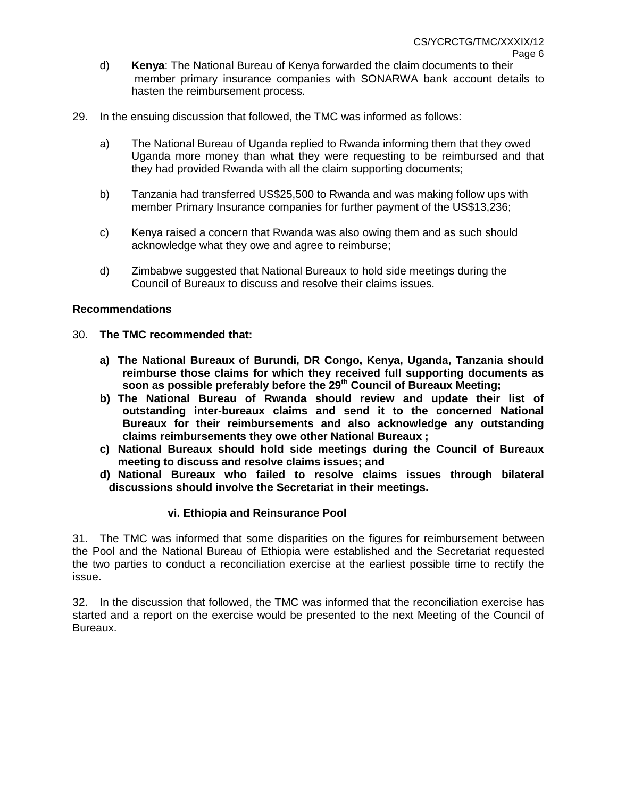- d) **Kenya**: The National Bureau of Kenya forwarded the claim documents to their member primary insurance companies with SONARWA bank account details to hasten the reimbursement process.
- 29. In the ensuing discussion that followed, the TMC was informed as follows:
	- a) The National Bureau of Uganda replied to Rwanda informing them that they owed Uganda more money than what they were requesting to be reimbursed and that they had provided Rwanda with all the claim supporting documents;
	- b) Tanzania had transferred US\$25,500 to Rwanda and was making follow ups with member Primary Insurance companies for further payment of the US\$13,236;
	- c) Kenya raised a concern that Rwanda was also owing them and as such should acknowledge what they owe and agree to reimburse;
	- d) Zimbabwe suggested that National Bureaux to hold side meetings during the Council of Bureaux to discuss and resolve their claims issues.

#### **Recommendations**

#### 30. **The TMC recommended that:**

- **a) The National Bureaux of Burundi, DR Congo, Kenya, Uganda, Tanzania should reimburse those claims for which they received full supporting documents as soon as possible preferably before the 29th Council of Bureaux Meeting;**
- **b) The National Bureau of Rwanda should review and update their list of outstanding inter-bureaux claims and send it to the concerned National Bureaux for their reimbursements and also acknowledge any outstanding claims reimbursements they owe other National Bureaux ;**
- **c) National Bureaux should hold side meetings during the Council of Bureaux meeting to discuss and resolve claims issues; and**
- **d) National Bureaux who failed to resolve claims issues through bilateral discussions should involve the Secretariat in their meetings.**

#### **vi. Ethiopia and Reinsurance Pool**

31. The TMC was informed that some disparities on the figures for reimbursement between the Pool and the National Bureau of Ethiopia were established and the Secretariat requested the two parties to conduct a reconciliation exercise at the earliest possible time to rectify the issue.

32. In the discussion that followed, the TMC was informed that the reconciliation exercise has started and a report on the exercise would be presented to the next Meeting of the Council of Bureaux.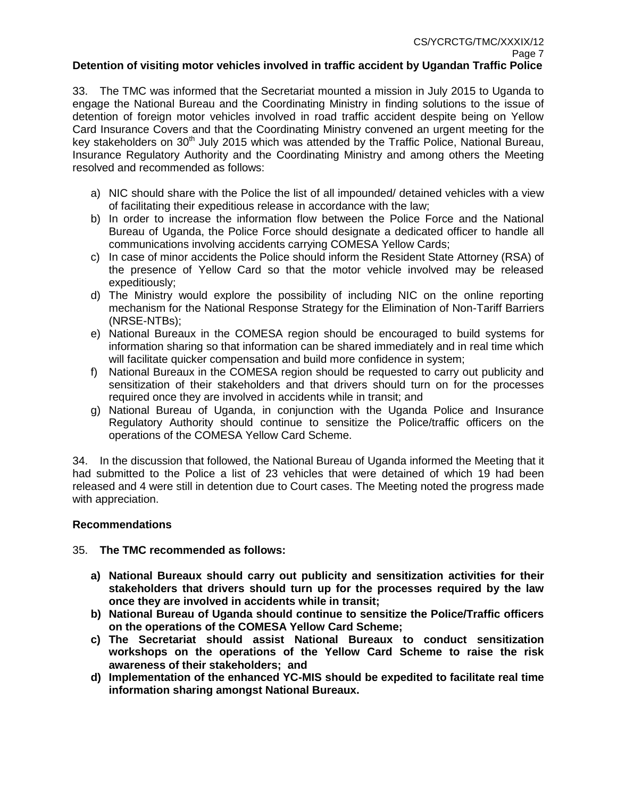33. The TMC was informed that the Secretariat mounted a mission in July 2015 to Uganda to engage the National Bureau and the Coordinating Ministry in finding solutions to the issue of detention of foreign motor vehicles involved in road traffic accident despite being on Yellow Card Insurance Covers and that the Coordinating Ministry convened an urgent meeting for the key stakeholders on  $30<sup>th</sup>$  July 2015 which was attended by the Traffic Police, National Bureau, Insurance Regulatory Authority and the Coordinating Ministry and among others the Meeting resolved and recommended as follows:

- a) NIC should share with the Police the list of all impounded/ detained vehicles with a view of facilitating their expeditious release in accordance with the law;
- b) In order to increase the information flow between the Police Force and the National Bureau of Uganda, the Police Force should designate a dedicated officer to handle all communications involving accidents carrying COMESA Yellow Cards;
- c) In case of minor accidents the Police should inform the Resident State Attorney (RSA) of the presence of Yellow Card so that the motor vehicle involved may be released expeditiously;
- d) The Ministry would explore the possibility of including NIC on the online reporting mechanism for the National Response Strategy for the Elimination of Non-Tariff Barriers (NRSE-NTBs);
- e) National Bureaux in the COMESA region should be encouraged to build systems for information sharing so that information can be shared immediately and in real time which will facilitate quicker compensation and build more confidence in system;
- f) National Bureaux in the COMESA region should be requested to carry out publicity and sensitization of their stakeholders and that drivers should turn on for the processes required once they are involved in accidents while in transit; and
- g) National Bureau of Uganda, in conjunction with the Uganda Police and Insurance Regulatory Authority should continue to sensitize the Police/traffic officers on the operations of the COMESA Yellow Card Scheme.

34. In the discussion that followed, the National Bureau of Uganda informed the Meeting that it had submitted to the Police a list of 23 vehicles that were detained of which 19 had been released and 4 were still in detention due to Court cases. The Meeting noted the progress made with appreciation.

## **Recommendations**

## 35. **The TMC recommended as follows:**

- **a) National Bureaux should carry out publicity and sensitization activities for their stakeholders that drivers should turn up for the processes required by the law once they are involved in accidents while in transit;**
- **b) National Bureau of Uganda should continue to sensitize the Police/Traffic officers on the operations of the COMESA Yellow Card Scheme;**
- **c) The Secretariat should assist National Bureaux to conduct sensitization workshops on the operations of the Yellow Card Scheme to raise the risk awareness of their stakeholders; and**
- **d) Implementation of the enhanced YC-MIS should be expedited to facilitate real time information sharing amongst National Bureaux.**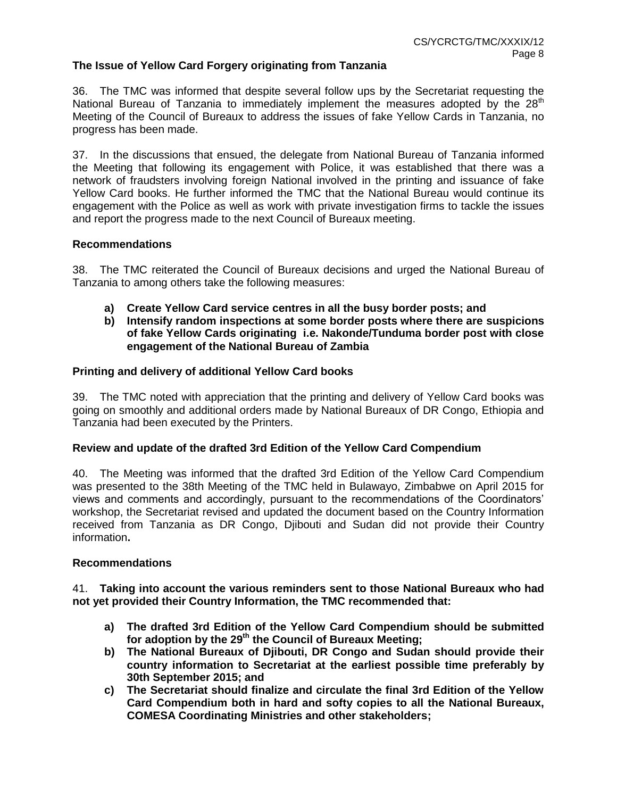### **The Issue of Yellow Card Forgery originating from Tanzania**

36. The TMC was informed that despite several follow ups by the Secretariat requesting the National Bureau of Tanzania to immediately implement the measures adopted by the  $28<sup>th</sup>$ Meeting of the Council of Bureaux to address the issues of fake Yellow Cards in Tanzania, no progress has been made.

37. In the discussions that ensued, the delegate from National Bureau of Tanzania informed the Meeting that following its engagement with Police, it was established that there was a network of fraudsters involving foreign National involved in the printing and issuance of fake Yellow Card books. He further informed the TMC that the National Bureau would continue its engagement with the Police as well as work with private investigation firms to tackle the issues and report the progress made to the next Council of Bureaux meeting.

#### **Recommendations**

38. The TMC reiterated the Council of Bureaux decisions and urged the National Bureau of Tanzania to among others take the following measures:

- **a) Create Yellow Card service centres in all the busy border posts; and**
- **b) Intensify random inspections at some border posts where there are suspicions of fake Yellow Cards originating i.e. Nakonde/Tunduma border post with close engagement of the National Bureau of Zambia**

#### **Printing and delivery of additional Yellow Card books**

39. The TMC noted with appreciation that the printing and delivery of Yellow Card books was going on smoothly and additional orders made by National Bureaux of DR Congo, Ethiopia and Tanzania had been executed by the Printers.

#### **Review and update of the drafted 3rd Edition of the Yellow Card Compendium**

40. The Meeting was informed that the drafted 3rd Edition of the Yellow Card Compendium was presented to the 38th Meeting of the TMC held in Bulawayo, Zimbabwe on April 2015 for views and comments and accordingly, pursuant to the recommendations of the Coordinators' workshop, the Secretariat revised and updated the document based on the Country Information received from Tanzania as DR Congo, Djibouti and Sudan did not provide their Country information**.**

#### **Recommendations**

41. **Taking into account the various reminders sent to those National Bureaux who had not yet provided their Country Information, the TMC recommended that:**

- **a) The drafted 3rd Edition of the Yellow Card Compendium should be submitted for adoption by the 29th the Council of Bureaux Meeting;**
- **b) The National Bureaux of Djibouti, DR Congo and Sudan should provide their country information to Secretariat at the earliest possible time preferably by 30th September 2015; and**
- **c) The Secretariat should finalize and circulate the final 3rd Edition of the Yellow Card Compendium both in hard and softy copies to all the National Bureaux, COMESA Coordinating Ministries and other stakeholders;**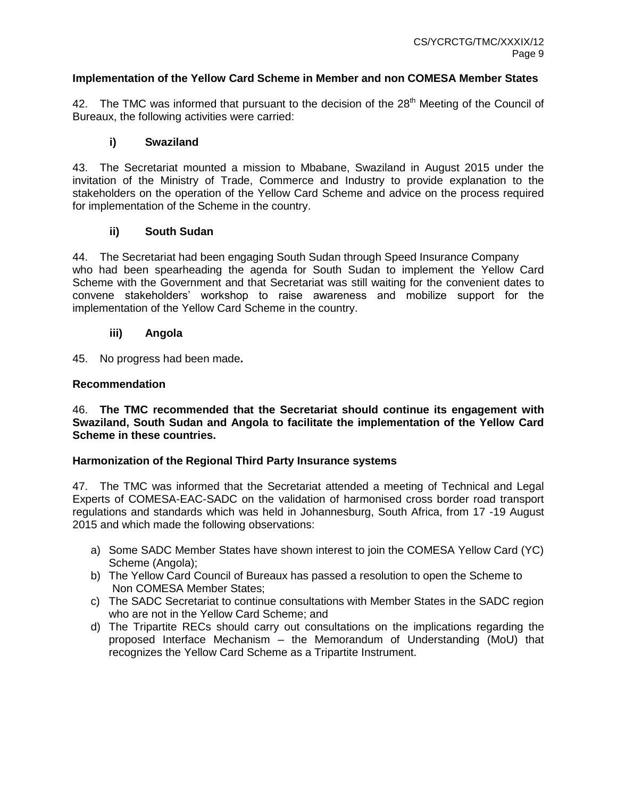### **Implementation of the Yellow Card Scheme in Member and non COMESA Member States**

42. The TMC was informed that pursuant to the decision of the 28<sup>th</sup> Meeting of the Council of Bureaux, the following activities were carried:

## **i) Swaziland**

43. The Secretariat mounted a mission to Mbabane, Swaziland in August 2015 under the invitation of the Ministry of Trade, Commerce and Industry to provide explanation to the stakeholders on the operation of the Yellow Card Scheme and advice on the process required for implementation of the Scheme in the country.

## **ii) South Sudan**

44. The Secretariat had been engaging South Sudan through Speed Insurance Company who had been spearheading the agenda for South Sudan to implement the Yellow Card Scheme with the Government and that Secretariat was still waiting for the convenient dates to convene stakeholders' workshop to raise awareness and mobilize support for the implementation of the Yellow Card Scheme in the country.

### **iii) Angola**

45. No progress had been made**.**

### **Recommendation**

46. **The TMC recommended that the Secretariat should continue its engagement with Swaziland, South Sudan and Angola to facilitate the implementation of the Yellow Card Scheme in these countries.**

## **Harmonization of the Regional Third Party Insurance systems**

47. The TMC was informed that the Secretariat attended a meeting of Technical and Legal Experts of COMESA-EAC-SADC on the validation of harmonised cross border road transport regulations and standards which was held in Johannesburg, South Africa, from 17 -19 August 2015 and which made the following observations:

- a) Some SADC Member States have shown interest to join the COMESA Yellow Card (YC) Scheme (Angola);
- b) The Yellow Card Council of Bureaux has passed a resolution to open the Scheme to Non COMESA Member States;
- c) The SADC Secretariat to continue consultations with Member States in the SADC region who are not in the Yellow Card Scheme; and
- d) The Tripartite RECs should carry out consultations on the implications regarding the proposed Interface Mechanism – the Memorandum of Understanding (MoU) that recognizes the Yellow Card Scheme as a Tripartite Instrument.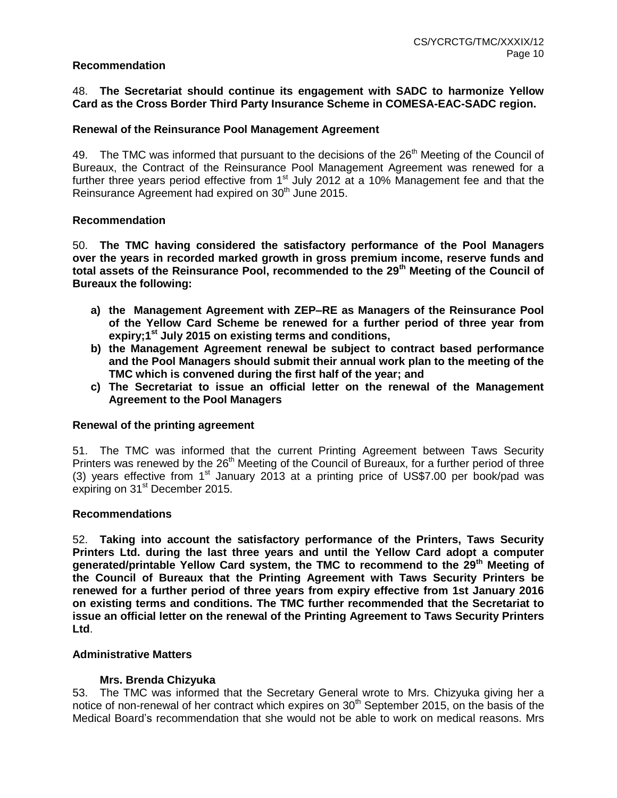#### **Recommendation**

48. **The Secretariat should continue its engagement with SADC to harmonize Yellow Card as the Cross Border Third Party Insurance Scheme in COMESA-EAC-SADC region.**

#### **Renewal of the Reinsurance Pool Management Agreement**

49. The TMC was informed that pursuant to the decisions of the  $26<sup>th</sup>$  Meeting of the Council of Bureaux, the Contract of the Reinsurance Pool Management Agreement was renewed for a further three years period effective from  $1<sup>st</sup>$  July 2012 at a 10% Management fee and that the Reinsurance Agreement had expired on 30<sup>th</sup> June 2015.

#### **Recommendation**

50. **The TMC having considered the satisfactory performance of the Pool Managers over the years in recorded marked growth in gross premium income, reserve funds and total assets of the Reinsurance Pool, recommended to the 29th Meeting of the Council of Bureaux the following:** 

- **a) the Management Agreement with ZEP–RE as Managers of the Reinsurance Pool of the Yellow Card Scheme be renewed for a further period of three year from expiry;1st July 2015 on existing terms and conditions,**
- **b) the Management Agreement renewal be subject to contract based performance and the Pool Managers should submit their annual work plan to the meeting of the TMC which is convened during the first half of the year; and**
- **c) The Secretariat to issue an official letter on the renewal of the Management Agreement to the Pool Managers**

#### **Renewal of the printing agreement**

51. The TMC was informed that the current Printing Agreement between Taws Security Printers was renewed by the 26<sup>th</sup> Meeting of the Council of Bureaux, for a further period of three (3) years effective from  $1<sup>st</sup>$  January 2013 at a printing price of US\$7.00 per book/pad was expiring on 31<sup>st</sup> December 2015.

#### **Recommendations**

52. **Taking into account the satisfactory performance of the Printers, Taws Security Printers Ltd. during the last three years and until the Yellow Card adopt a computer generated/printable Yellow Card system, the TMC to recommend to the 29th Meeting of the Council of Bureaux that the Printing Agreement with Taws Security Printers be renewed for a further period of three years from expiry effective from 1st January 2016 on existing terms and conditions. The TMC further recommended that the Secretariat to issue an official letter on the renewal of the Printing Agreement to Taws Security Printers Ltd**.

#### **Administrative Matters**

#### **Mrs. Brenda Chizyuka**

53. The TMC was informed that the Secretary General wrote to Mrs. Chizyuka giving her a notice of non-renewal of her contract which expires on  $30<sup>th</sup>$  September 2015, on the basis of the Medical Board's recommendation that she would not be able to work on medical reasons. Mrs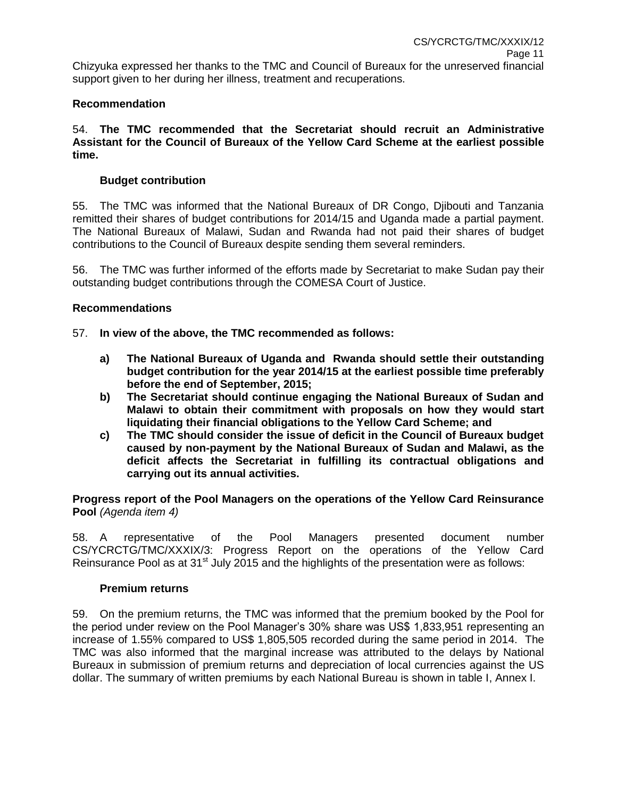Chizyuka expressed her thanks to the TMC and Council of Bureaux for the unreserved financial support given to her during her illness, treatment and recuperations.

## **Recommendation**

54. **The TMC recommended that the Secretariat should recruit an Administrative Assistant for the Council of Bureaux of the Yellow Card Scheme at the earliest possible time.**

### **Budget contribution**

55. The TMC was informed that the National Bureaux of DR Congo, Djibouti and Tanzania remitted their shares of budget contributions for 2014/15 and Uganda made a partial payment. The National Bureaux of Malawi, Sudan and Rwanda had not paid their shares of budget contributions to the Council of Bureaux despite sending them several reminders.

56. The TMC was further informed of the efforts made by Secretariat to make Sudan pay their outstanding budget contributions through the COMESA Court of Justice.

#### **Recommendations**

57. **In view of the above, the TMC recommended as follows:**

- **a) The National Bureaux of Uganda and Rwanda should settle their outstanding budget contribution for the year 2014/15 at the earliest possible time preferably before the end of September, 2015;**
- **b) The Secretariat should continue engaging the National Bureaux of Sudan and Malawi to obtain their commitment with proposals on how they would start liquidating their financial obligations to the Yellow Card Scheme; and**
- **c) The TMC should consider the issue of deficit in the Council of Bureaux budget caused by non-payment by the National Bureaux of Sudan and Malawi, as the deficit affects the Secretariat in fulfilling its contractual obligations and carrying out its annual activities.**

**Progress report of the Pool Managers on the operations of the Yellow Card Reinsurance Pool** *(Agenda item 4)*

58. A representative of the Pool Managers presented document number CS/YCRCTG/TMC/XXXIX/3: Progress Report on the operations of the Yellow Card Reinsurance Pool as at 31<sup>st</sup> July 2015 and the highlights of the presentation were as follows:

#### **Premium returns**

59. On the premium returns, the TMC was informed that the premium booked by the Pool for the period under review on the Pool Manager's 30% share was US\$ 1,833,951 representing an increase of 1.55% compared to US\$ 1,805,505 recorded during the same period in 2014. The TMC was also informed that the marginal increase was attributed to the delays by National Bureaux in submission of premium returns and depreciation of local currencies against the US dollar. The summary of written premiums by each National Bureau is shown in table I, Annex I.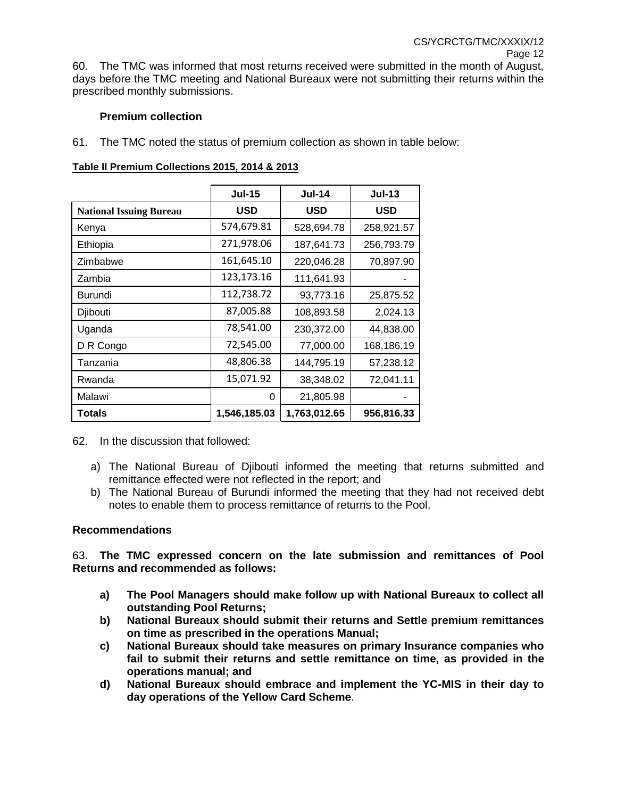60. The TMC was informed that most returns received were submitted in the month of August, days before the TMC meeting and National Bureaux were not submitting their returns within the prescribed monthly submissions.

## **Premium collection**

61. The TMC noted the status of premium collection as shown in table below:

|                                | <b>Jul-15</b> | <b>Jul-14</b> | <b>Jul-13</b> |  |
|--------------------------------|---------------|---------------|---------------|--|
| <b>National Issuing Bureau</b> | <b>USD</b>    | <b>USD</b>    | <b>USD</b>    |  |
| Kenya                          | 574,679.81    | 528,694.78    | 258,921.57    |  |
| Ethiopia                       | 271,978.06    | 187,641.73    | 256,793.79    |  |
| Zimbabwe                       | 161,645.10    | 220,046.28    | 70,897.90     |  |
| Zambia                         | 123,173.16    | 111,641.93    |               |  |
| Burundi                        | 112,738.72    | 93,773.16     | 25,875.52     |  |
| Djibouti                       | 87,005.88     | 108,893.58    | 2,024.13      |  |
| Uganda                         | 78,541.00     | 230,372.00    | 44,838.00     |  |
| D R Congo                      | 72,545.00     | 77,000.00     | 168,186.19    |  |
| Tanzania                       | 48,806.38     | 144,795.19    | 57,238.12     |  |
| Rwanda                         | 15,071.92     | 38,348.02     | 72,041.11     |  |
| Malawi                         | 0             | 21,805.98     |               |  |
| Totals                         | 1,546,185.03  | 1,763,012.65  | 956,816.33    |  |

#### **Table II Premium Collections 2015, 2014 & 2013**

62. In the discussion that followed:

- a) The National Bureau of Djibouti informed the meeting that returns submitted and remittance effected were not reflected in the report; and
- b) The National Bureau of Burundi informed the meeting that they had not received debt notes to enable them to process remittance of returns to the Pool.

#### **Recommendations**

63. **The TMC expressed concern on the late submission and remittances of Pool Returns and recommended as follows:**

- **a) The Pool Managers should make follow up with National Bureaux to collect all outstanding Pool Returns;**
- **b) National Bureaux should submit their returns and Settle premium remittances on time as prescribed in the operations Manual;**
- **c) National Bureaux should take measures on primary Insurance companies who fail to submit their returns and settle remittance on time, as provided in the operations manual; and**
- **d) National Bureaux should embrace and implement the YC-MIS in their day to day operations of the Yellow Card Scheme**.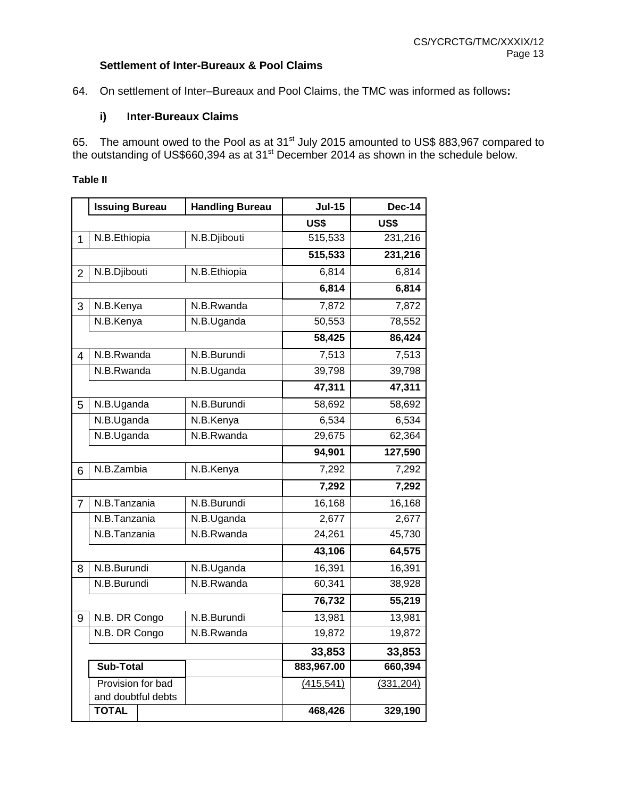## **Settlement of Inter-Bureaux & Pool Claims**

64. On settlement of Inter–Bureaux and Pool Claims, the TMC was informed as follows**:** 

## **i) Inter-Bureaux Claims**

65. The amount owed to the Pool as at  $31<sup>st</sup>$  July 2015 amounted to US\$ 883,967 compared to the outstanding of US\$660,394 as at 31 $^{\text{st}}$  December 2014 as shown in the schedule below.

#### **Table II**

|                | <b>Issuing Bureau</b> | <b>Handling Bureau</b> | <b>Jul-15</b> | <b>Dec-14</b> |
|----------------|-----------------------|------------------------|---------------|---------------|
|                |                       |                        | US\$          | US\$          |
| 1              | N.B.Ethiopia          | N.B.Djibouti           | 515,533       | 231,216       |
|                |                       |                        | 515,533       | 231,216       |
| $\overline{2}$ | N.B.Djibouti          | N.B.Ethiopia           | 6,814         | 6,814         |
|                |                       |                        | 6,814         | 6,814         |
| 3              | N.B.Kenya             | N.B.Rwanda             | 7,872         | 7,872         |
|                | N.B.Kenya             | N.B.Uganda             | 50,553        | 78,552        |
|                |                       |                        | 58,425        | 86,424        |
| $\overline{4}$ | N.B.Rwanda            | N.B.Burundi            | 7,513         | 7,513         |
|                | N.B.Rwanda            | N.B.Uganda             | 39,798        | 39,798        |
|                |                       |                        | 47,311        | 47,311        |
| 5              | N.B.Uganda            | N.B.Burundi            | 58,692        | 58,692        |
|                | N.B.Uganda            | N.B.Kenya              | 6,534         | 6,534         |
|                | N.B.Uganda            | N.B.Rwanda             | 29,675        | 62,364        |
|                |                       |                        | 94,901        | 127,590       |
| 6              | N.B.Zambia            | N.B.Kenya              | 7,292         | 7,292         |
|                |                       |                        | 7,292         | 7,292         |
| $\overline{7}$ | N.B.Tanzania          | N.B.Burundi            | 16,168        | 16,168        |
|                | N.B.Tanzania          | N.B.Uganda             | 2,677         | 2,677         |
|                | N.B.Tanzania          | N.B.Rwanda             | 24,261        | 45,730        |
|                |                       |                        | 43,106        | 64,575        |
| 8              | N.B.Burundi           | N.B.Uganda             | 16,391        | 16,391        |
|                | N.B.Burundi           | N.B.Rwanda             | 60,341        | 38,928        |
|                |                       |                        | 76,732        | 55,219        |
| 9              | N.B. DR Congo         | N.B.Burundi            | 13,981        | 13,981        |
|                | N.B. DR Congo         | N.B.Rwanda             | 19,872        | 19,872        |
|                |                       |                        | 33,853        | 33,853        |
|                | Sub-Total             |                        | 883,967.00    | 660,394       |
|                | Provision for bad     |                        | (415, 541)    | (331, 204)    |
|                | and doubtful debts    |                        |               |               |
|                | <b>TOTAL</b>          |                        | 468,426       | 329,190       |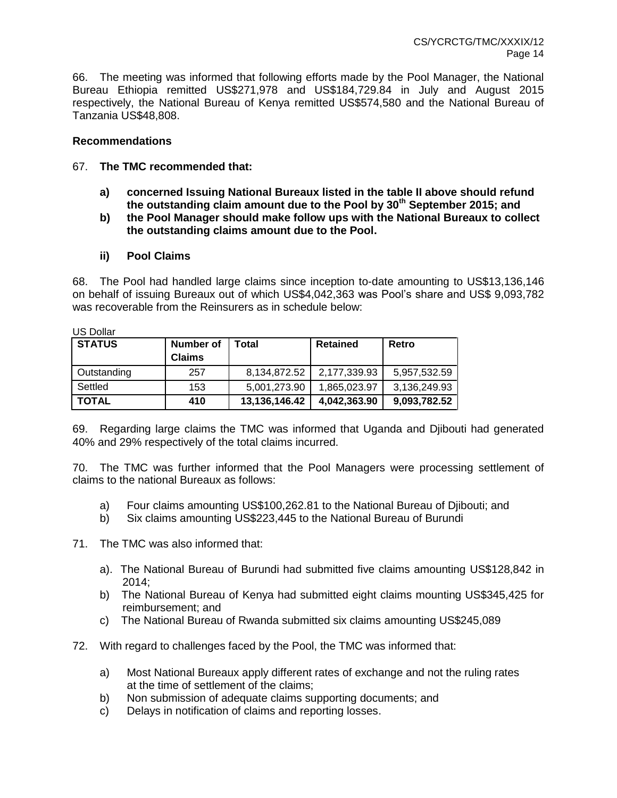66. The meeting was informed that following efforts made by the Pool Manager, the National Bureau Ethiopia remitted US\$271,978 and US\$184,729.84 in July and August 2015 respectively, the National Bureau of Kenya remitted US\$574,580 and the National Bureau of Tanzania US\$48,808.

### **Recommendations**

## 67. **The TMC recommended that:**

- **a) concerned Issuing National Bureaux listed in the table II above should refund the outstanding claim amount due to the Pool by 30th September 2015; and**
- **b) the Pool Manager should make follow ups with the National Bureaux to collect the outstanding claims amount due to the Pool.**

### **ii) Pool Claims**

68. The Pool had handled large claims since inception to-date amounting to US\$13,136,146 on behalf of issuing Bureaux out of which US\$4,042,363 was Pool's share and US\$ 9,093,782 was recoverable from the Reinsurers as in schedule below:

| <b>STATUS</b> | <b>Number of</b><br><b>Claims</b> | Total         | <b>Retained</b> | Retro        |
|---------------|-----------------------------------|---------------|-----------------|--------------|
| Outstanding   | 257                               | 8,134,872.52  | 2,177,339.93    | 5,957,532.59 |
| Settled       | 153                               | 5,001,273.90  | 1.865.023.97    | 3,136,249.93 |
| <b>TOTAL</b>  | 410                               | 13,136,146.42 | 4,042,363.90    | 9,093,782.52 |

 $U \cap D \cup U \neq \emptyset$ 

69. Regarding large claims the TMC was informed that Uganda and Djibouti had generated 40% and 29% respectively of the total claims incurred.

70. The TMC was further informed that the Pool Managers were processing settlement of claims to the national Bureaux as follows:

- a) Four claims amounting US\$100,262.81 to the National Bureau of Djibouti; and
- b) Six claims amounting US\$223,445 to the National Bureau of Burundi

71. The TMC was also informed that:

- a). The National Bureau of Burundi had submitted five claims amounting US\$128,842 in 2014;
- b) The National Bureau of Kenya had submitted eight claims mounting US\$345,425 for reimbursement; and
- c) The National Bureau of Rwanda submitted six claims amounting US\$245,089
- 72. With regard to challenges faced by the Pool, the TMC was informed that:
	- a) Most National Bureaux apply different rates of exchange and not the ruling rates at the time of settlement of the claims;
	- b) Non submission of adequate claims supporting documents; and
	- c) Delays in notification of claims and reporting losses.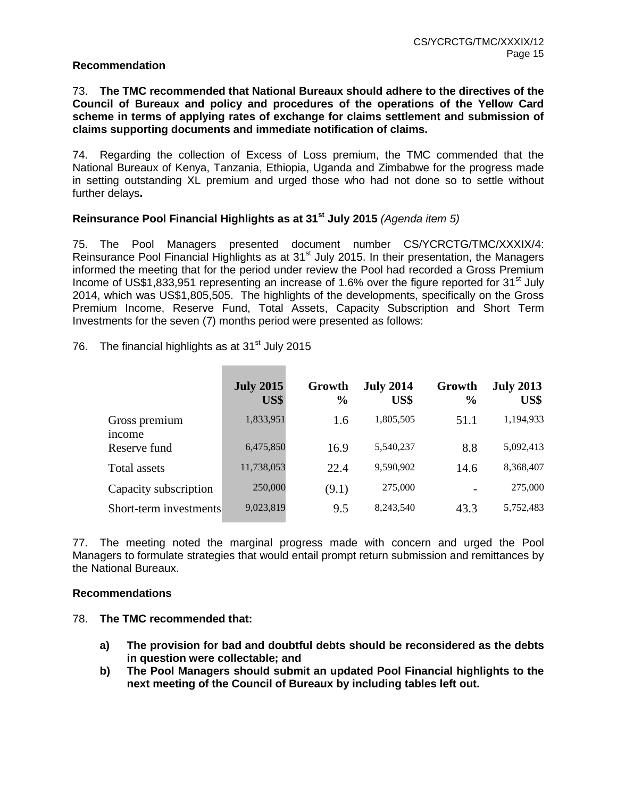#### **Recommendation**

#### 73. **The TMC recommended that National Bureaux should adhere to the directives of the Council of Bureaux and policy and procedures of the operations of the Yellow Card scheme in terms of applying rates of exchange for claims settlement and submission of claims supporting documents and immediate notification of claims.**

74. Regarding the collection of Excess of Loss premium, the TMC commended that the National Bureaux of Kenya, Tanzania, Ethiopia, Uganda and Zimbabwe for the progress made in setting outstanding XL premium and urged those who had not done so to settle without further delays**.** 

## **Reinsurance Pool Financial Highlights as at 31st July 2015** *(Agenda item 5)*

75. The Pool Managers presented document number CS/YCRCTG/TMC/XXXIX/4: Reinsurance Pool Financial Highlights as at 31<sup>st</sup> July 2015. In their presentation, the Managers informed the meeting that for the period under review the Pool had recorded a Gross Premium Income of US\$1,833,951 representing an increase of 1.6% over the figure reported for 31<sup>st</sup> July 2014, which was US\$1,805,505. The highlights of the developments, specifically on the Gross Premium Income, Reserve Fund, Total Assets, Capacity Subscription and Short Term Investments for the seven (7) months period were presented as follows:

76. The financial highlights as at  $31<sup>st</sup>$  July 2015

|                         | <b>July 2015</b><br>US\$ | Growth<br>$\frac{6}{9}$ | <b>July 2014</b><br>US\$ | Growth<br>$\frac{6}{6}$ | <b>July 2013</b><br>US\$ |
|-------------------------|--------------------------|-------------------------|--------------------------|-------------------------|--------------------------|
| Gross premium<br>income | 1,833,951                | 1.6                     | 1,805,505                | 51.1                    | 1,194,933                |
| Reserve fund            | 6,475,850                | 16.9                    | 5,540,237                | 8.8                     | 5,092,413                |
| Total assets            | 11,738,053               | 22.4                    | 9,590,902                | 14.6                    | 8,368,407                |
| Capacity subscription   | 250,000                  | (9.1)                   | 275,000                  |                         | 275,000                  |
| Short-term investments  | 9,023,819                | 9.5                     | 8,243,540                | 43.3                    | 5,752,483                |

77. The meeting noted the marginal progress made with concern and urged the Pool Managers to formulate strategies that would entail prompt return submission and remittances by the National Bureaux.

#### **Recommendations**

- 78. **The TMC recommended that:**
	- **a) The provision for bad and doubtful debts should be reconsidered as the debts in question were collectable; and**
	- **b) The Pool Managers should submit an updated Pool Financial highlights to the next meeting of the Council of Bureaux by including tables left out.**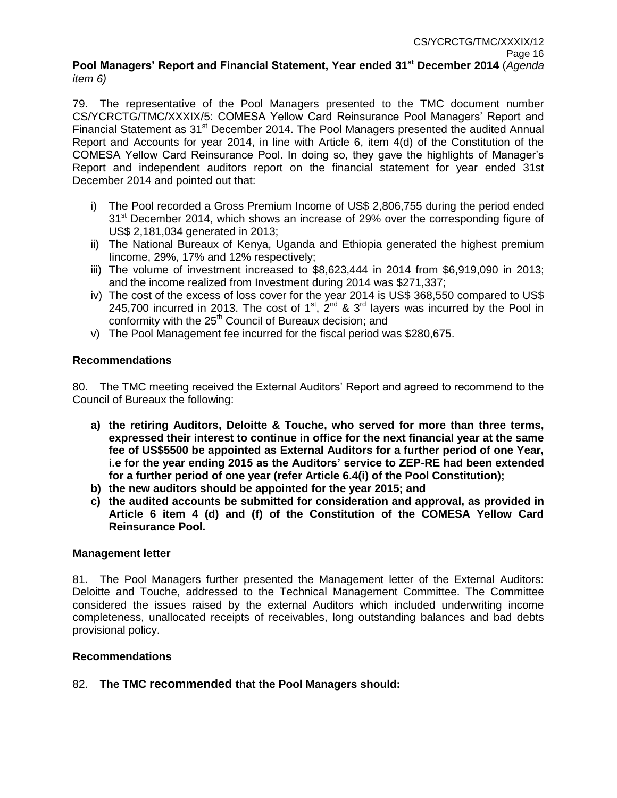#### **Pool Managers' Report and Financial Statement, Year ended 31st December 2014** (*Agenda item 6)*

79. The representative of the Pool Managers presented to the TMC document number CS/YCRCTG/TMC/XXXIX/5: COMESA Yellow Card Reinsurance Pool Managers' Report and Financial Statement as 31<sup>st</sup> December 2014. The Pool Managers presented the audited Annual Report and Accounts for year 2014, in line with Article 6, item 4(d) of the Constitution of the COMESA Yellow Card Reinsurance Pool. In doing so, they gave the highlights of Manager's Report and independent auditors report on the financial statement for year ended 31st December 2014 and pointed out that:

- i) The Pool recorded a Gross Premium Income of US\$ 2,806,755 during the period ended  $31<sup>st</sup>$  December 2014, which shows an increase of 29% over the corresponding figure of US\$ 2,181,034 generated in 2013;
- ii) The National Bureaux of Kenya, Uganda and Ethiopia generated the highest premium Iincome, 29%, 17% and 12% respectively;
- iii) The volume of investment increased to \$8,623,444 in 2014 from \$6,919,090 in 2013; and the income realized from Investment during 2014 was \$271,337;
- iv) The cost of the excess of loss cover for the year 2014 is US\$ 368,550 compared to US\$ 245,700 incurred in 2013. The cost of 1<sup>st</sup>,  $2^{nd}$  & 3<sup>rd</sup> layers was incurred by the Pool in conformity with the 25<sup>th</sup> Council of Bureaux decision; and
- v) The Pool Management fee incurred for the fiscal period was \$280,675.

## **Recommendations**

80. The TMC meeting received the External Auditors' Report and agreed to recommend to the Council of Bureaux the following:

- **a) the retiring Auditors, Deloitte & Touche, who served for more than three terms, expressed their interest to continue in office for the next financial year at the same fee of US\$5500 be appointed as External Auditors for a further period of one Year, i.e for the year ending 2015 as the Auditors' service to ZEP-RE had been extended for a further period of one year (refer Article 6.4(i) of the Pool Constitution);**
- **b) the new auditors should be appointed for the year 2015; and**
- **c) the audited accounts be submitted for consideration and approval, as provided in Article 6 item 4 (d) and (f) of the Constitution of the COMESA Yellow Card Reinsurance Pool.**

## **Management letter**

81. The Pool Managers further presented the Management letter of the External Auditors: Deloitte and Touche, addressed to the Technical Management Committee. The Committee considered the issues raised by the external Auditors which included underwriting income completeness, unallocated receipts of receivables, long outstanding balances and bad debts provisional policy.

## **Recommendations**

## 82. **The TMC recommended that the Pool Managers should:**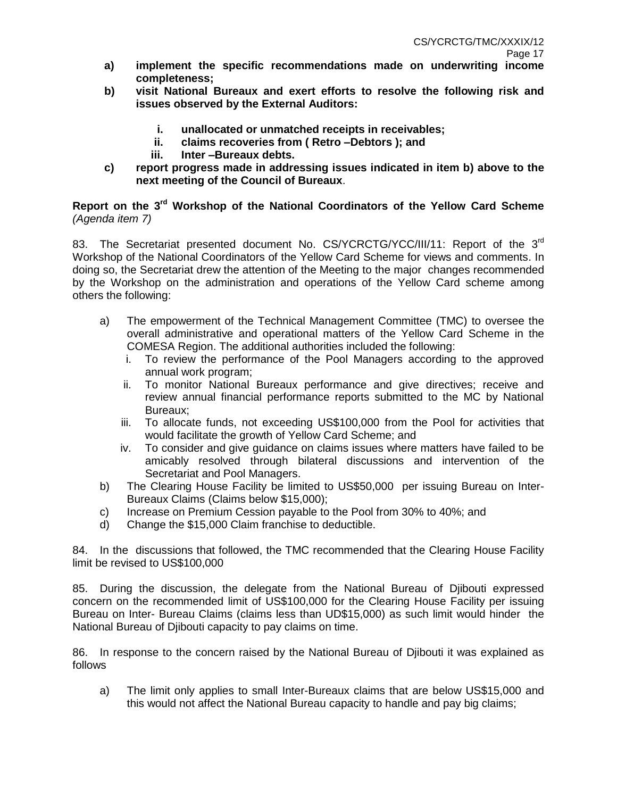- **a) implement the specific recommendations made on underwriting income completeness;**
- **b) visit National Bureaux and exert efforts to resolve the following risk and issues observed by the External Auditors:**
	- **i. unallocated or unmatched receipts in receivables;**
	- **ii. claims recoveries from ( Retro –Debtors ); and**
	- **iii. Inter –Bureaux debts.**
- **c) report progress made in addressing issues indicated in item b) above to the next meeting of the Council of Bureaux**.

## **Report on the 3rd Workshop of the National Coordinators of the Yellow Card Scheme** *(Agenda item 7)*

83. The Secretariat presented document No. CS/YCRCTG/YCC/III/11: Report of the 3<sup>rd</sup> Workshop of the National Coordinators of the Yellow Card Scheme for views and comments. In doing so, the Secretariat drew the attention of the Meeting to the major changes recommended by the Workshop on the administration and operations of the Yellow Card scheme among others the following:

- a) The empowerment of the Technical Management Committee (TMC) to oversee the overall administrative and operational matters of the Yellow Card Scheme in the COMESA Region. The additional authorities included the following:
	- i. To review the performance of the Pool Managers according to the approved annual work program;
	- ii. To monitor National Bureaux performance and give directives; receive and review annual financial performance reports submitted to the MC by National Bureaux;
	- iii. To allocate funds, not exceeding US\$100,000 from the Pool for activities that would facilitate the growth of Yellow Card Scheme; and
	- iv. To consider and give guidance on claims issues where matters have failed to be amicably resolved through bilateral discussions and intervention of the Secretariat and Pool Managers.
- b) The Clearing House Facility be limited to US\$50,000 per issuing Bureau on Inter-Bureaux Claims (Claims below \$15,000);
- c) Increase on Premium Cession payable to the Pool from 30% to 40%; and
- d) Change the \$15,000 Claim franchise to deductible.

84. In the discussions that followed, the TMC recommended that the Clearing House Facility limit be revised to US\$100,000

85. During the discussion, the delegate from the National Bureau of Djibouti expressed concern on the recommended limit of US\$100,000 for the Clearing House Facility per issuing Bureau on Inter- Bureau Claims (claims less than UD\$15,000) as such limit would hinder the National Bureau of Djibouti capacity to pay claims on time.

86. In response to the concern raised by the National Bureau of Djibouti it was explained as follows

a) The limit only applies to small Inter-Bureaux claims that are below US\$15,000 and this would not affect the National Bureau capacity to handle and pay big claims;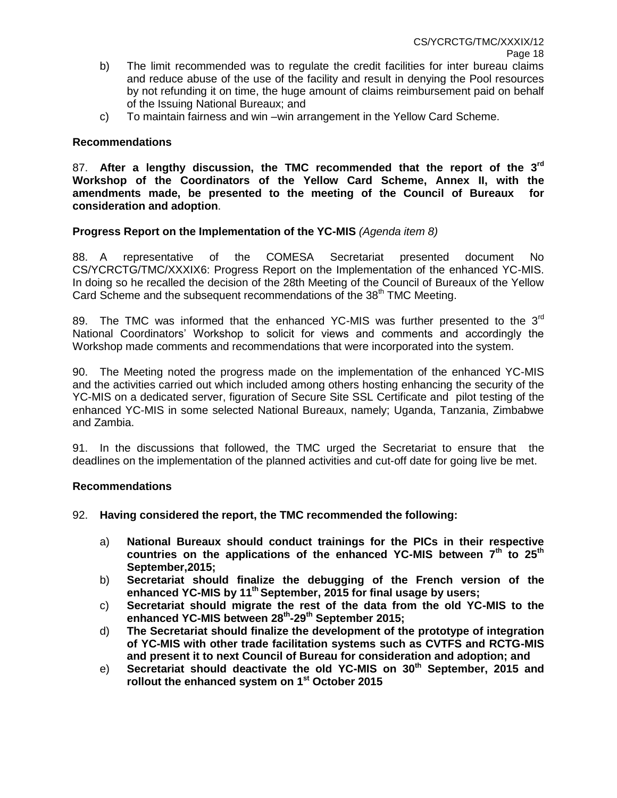- b) The limit recommended was to regulate the credit facilities for inter bureau claims and reduce abuse of the use of the facility and result in denying the Pool resources by not refunding it on time, the huge amount of claims reimbursement paid on behalf of the Issuing National Bureaux; and
- c) To maintain fairness and win –win arrangement in the Yellow Card Scheme.

#### **Recommendations**

87. **After a lengthy discussion, the TMC recommended that the report of the 3rd Workshop of the Coordinators of the Yellow Card Scheme, Annex II, with the amendments made, be presented to the meeting of the Council of Bureaux for consideration and adoption**.

### **Progress Report on the Implementation of the YC-MIS** *(Agenda item 8)*

88. A representative of the COMESA Secretariat presented document No CS/YCRCTG/TMC/XXXIX6: Progress Report on the Implementation of the enhanced YC-MIS. In doing so he recalled the decision of the 28th Meeting of the Council of Bureaux of the Yellow Card Scheme and the subsequent recommendations of the 38<sup>th</sup> TMC Meeting.

89. The TMC was informed that the enhanced YC-MIS was further presented to the  $3<sup>rd</sup>$ National Coordinators' Workshop to solicit for views and comments and accordingly the Workshop made comments and recommendations that were incorporated into the system.

90. The Meeting noted the progress made on the implementation of the enhanced YC-MIS and the activities carried out which included among others hosting enhancing the security of the YC-MIS on a dedicated server, figuration of Secure Site SSL Certificate and pilot testing of the enhanced YC-MIS in some selected National Bureaux, namely; Uganda, Tanzania, Zimbabwe and Zambia.

91. In the discussions that followed, the TMC urged the Secretariat to ensure that the deadlines on the implementation of the planned activities and cut-off date for going live be met.

#### **Recommendations**

- 92. **Having considered the report, the TMC recommended the following:** 
	- a) **National Bureaux should conduct trainings for the PICs in their respective countries on the applications of the enhanced YC-MIS between 7th to 25th September,2015;**
	- b) **Secretariat should finalize the debugging of the French version of the enhanced YC-MIS by 11th September, 2015 for final usage by users;**
	- c) **Secretariat should migrate the rest of the data from the old YC-MIS to the enhanced YC-MIS between 28th -29th September 2015;**
	- d) **The Secretariat should finalize the development of the prototype of integration of YC-MIS with other trade facilitation systems such as CVTFS and RCTG-MIS and present it to next Council of Bureau for consideration and adoption; and**
	- e) **Secretariat should deactivate the old YC-MIS on 30th September, 2015 and rollout the enhanced system on 1st October 2015**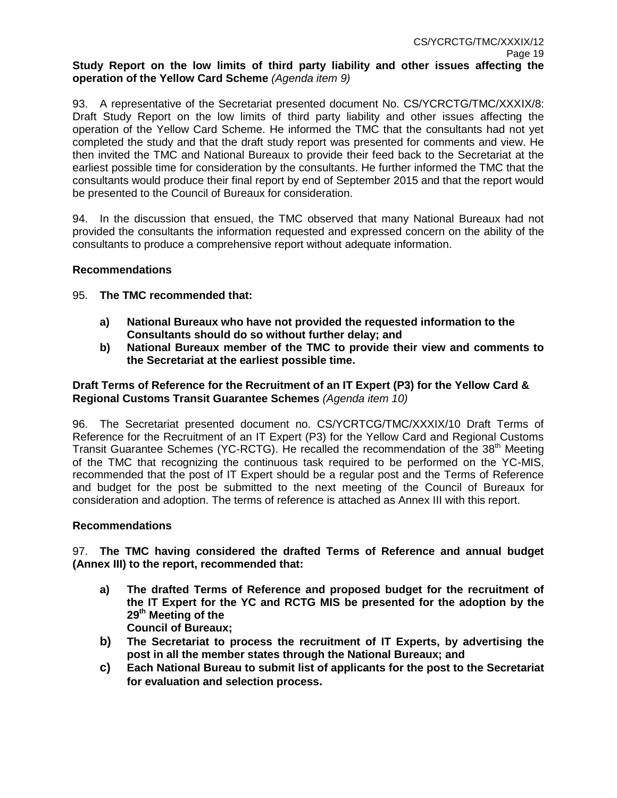## **Study Report on the low limits of third party liability and other issues affecting the operation of the Yellow Card Scheme** *(Agenda item 9)*

93. A representative of the Secretariat presented document No. CS/YCRCTG/TMC/XXXIX/8: Draft Study Report on the low limits of third party liability and other issues affecting the operation of the Yellow Card Scheme. He informed the TMC that the consultants had not yet completed the study and that the draft study report was presented for comments and view. He then invited the TMC and National Bureaux to provide their feed back to the Secretariat at the earliest possible time for consideration by the consultants. He further informed the TMC that the consultants would produce their final report by end of September 2015 and that the report would be presented to the Council of Bureaux for consideration.

94. In the discussion that ensued, the TMC observed that many National Bureaux had not provided the consultants the information requested and expressed concern on the ability of the consultants to produce a comprehensive report without adequate information.

## **Recommendations**

## 95. **The TMC recommended that:**

- **a) National Bureaux who have not provided the requested information to the Consultants should do so without further delay; and**
- **b) National Bureaux member of the TMC to provide their view and comments to the Secretariat at the earliest possible time.**

## **Draft Terms of Reference for the Recruitment of an IT Expert (P3) for the Yellow Card & Regional Customs Transit Guarantee Schemes** *(Agenda item 10)*

96. The Secretariat presented document no. CS/YCRTCG/TMC/XXXIX/10 Draft Terms of Reference for the Recruitment of an IT Expert (P3) for the Yellow Card and Regional Customs Transit Guarantee Schemes (YC-RCTG). He recalled the recommendation of the 38<sup>th</sup> Meeting of the TMC that recognizing the continuous task required to be performed on the YC-MIS, recommended that the post of IT Expert should be a regular post and the Terms of Reference and budget for the post be submitted to the next meeting of the Council of Bureaux for consideration and adoption. The terms of reference is attached as Annex III with this report.

#### **Recommendations**

97. **The TMC having considered the drafted Terms of Reference and annual budget (Annex III) to the report, recommended that:**

- **a) The drafted Terms of Reference and proposed budget for the recruitment of the IT Expert for the YC and RCTG MIS be presented for the adoption by the 29th Meeting of the Council of Bureaux;**
- **b) The Secretariat to process the recruitment of IT Experts, by advertising the post in all the member states through the National Bureaux; and**
- **c) Each National Bureau to submit list of applicants for the post to the Secretariat for evaluation and selection process.**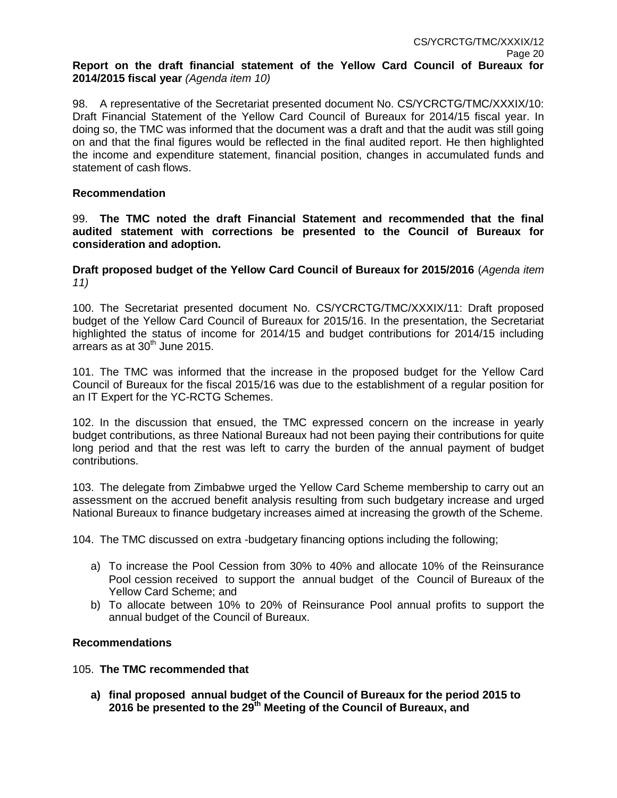### **Report on the draft financial statement of the Yellow Card Council of Bureaux for 2014/2015 fiscal year** *(Agenda item 10)*

98. A representative of the Secretariat presented document No. CS/YCRCTG/TMC/XXXIX/10: Draft Financial Statement of the Yellow Card Council of Bureaux for 2014/15 fiscal year. In doing so, the TMC was informed that the document was a draft and that the audit was still going on and that the final figures would be reflected in the final audited report. He then highlighted the income and expenditure statement, financial position, changes in accumulated funds and statement of cash flows.

### **Recommendation**

99. **The TMC noted the draft Financial Statement and recommended that the final audited statement with corrections be presented to the Council of Bureaux for consideration and adoption.**

**Draft proposed budget of the Yellow Card Council of Bureaux for 2015/2016** (*Agenda item 11)*

100. The Secretariat presented document No. CS/YCRCTG/TMC/XXXIX/11: Draft proposed budget of the Yellow Card Council of Bureaux for 2015/16. In the presentation, the Secretariat highlighted the status of income for 2014/15 and budget contributions for 2014/15 including arrears as at  $30<sup>th</sup>$  June 2015.

101. The TMC was informed that the increase in the proposed budget for the Yellow Card Council of Bureaux for the fiscal 2015/16 was due to the establishment of a regular position for an IT Expert for the YC-RCTG Schemes.

102. In the discussion that ensued, the TMC expressed concern on the increase in yearly budget contributions, as three National Bureaux had not been paying their contributions for quite long period and that the rest was left to carry the burden of the annual payment of budget contributions.

103. The delegate from Zimbabwe urged the Yellow Card Scheme membership to carry out an assessment on the accrued benefit analysis resulting from such budgetary increase and urged National Bureaux to finance budgetary increases aimed at increasing the growth of the Scheme.

104. The TMC discussed on extra -budgetary financing options including the following;

- a) To increase the Pool Cession from 30% to 40% and allocate 10% of the Reinsurance Pool cession received to support the annual budget of the Council of Bureaux of the Yellow Card Scheme; and
- b) To allocate between 10% to 20% of Reinsurance Pool annual profits to support the annual budget of the Council of Bureaux.

## **Recommendations**

#### 105. **The TMC recommended that**

**a) final proposed annual budget of the Council of Bureaux for the period 2015 to 2016 be presented to the 29th Meeting of the Council of Bureaux, and**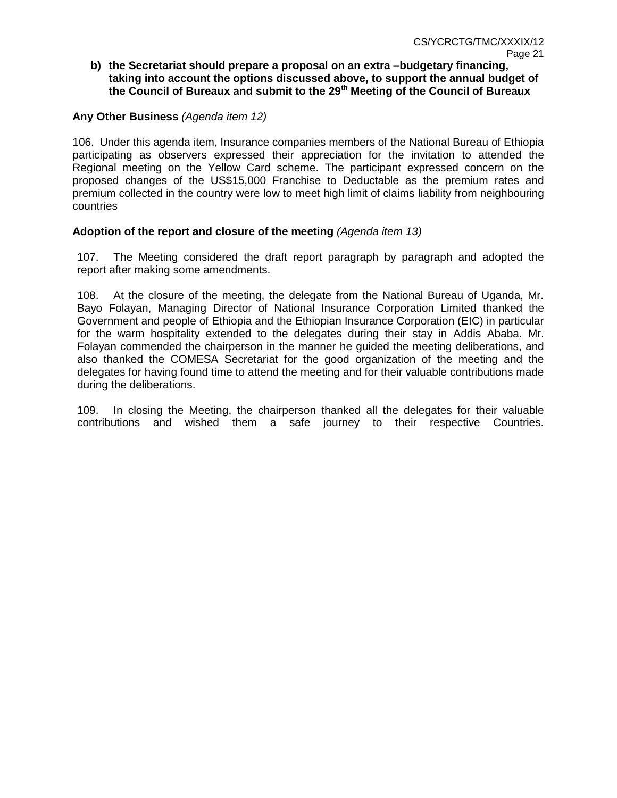### **b) the Secretariat should prepare a proposal on an extra –budgetary financing, taking into account the options discussed above, to support the annual budget of the Council of Bureaux and submit to the 29th Meeting of the Council of Bureaux**

## **Any Other Business** *(Agenda item 12)*

106. Under this agenda item, Insurance companies members of the National Bureau of Ethiopia participating as observers expressed their appreciation for the invitation to attended the Regional meeting on the Yellow Card scheme. The participant expressed concern on the proposed changes of the US\$15,000 Franchise to Deductable as the premium rates and premium collected in the country were low to meet high limit of claims liability from neighbouring countries

#### **Adoption of the report and closure of the meeting** *(Agenda item 13)*

107. The Meeting considered the draft report paragraph by paragraph and adopted the report after making some amendments.

108. At the closure of the meeting, the delegate from the National Bureau of Uganda, Mr. Bayo Folayan, Managing Director of National Insurance Corporation Limited thanked the Government and people of Ethiopia and the Ethiopian Insurance Corporation (EIC) in particular for the warm hospitality extended to the delegates during their stay in Addis Ababa. Mr. Folayan commended the chairperson in the manner he guided the meeting deliberations, and also thanked the COMESA Secretariat for the good organization of the meeting and the delegates for having found time to attend the meeting and for their valuable contributions made during the deliberations.

109. In closing the Meeting, the chairperson thanked all the delegates for their valuable contributions and wished them a safe journey to their respective Countries.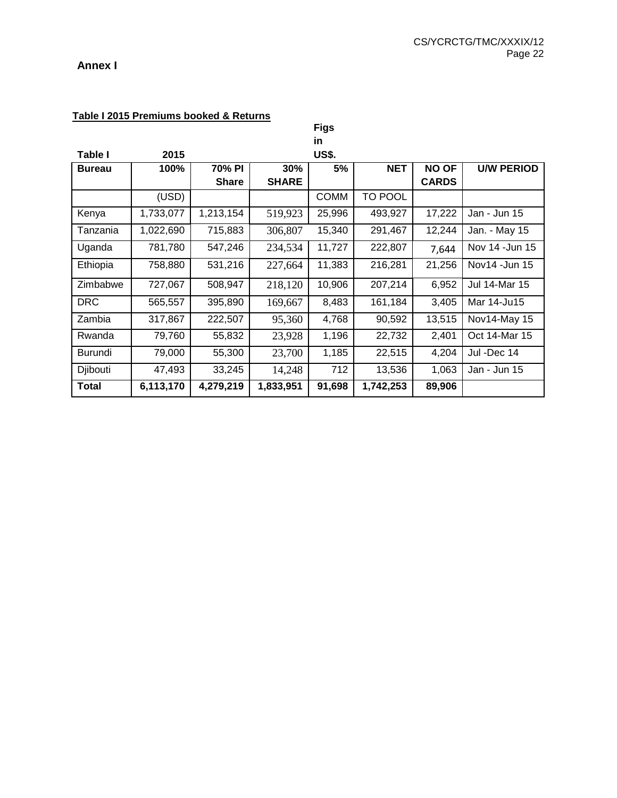## **Annex I**

| Table I 2015 Premiums booked & Returns |  |
|----------------------------------------|--|
|                                        |  |

|                |           |              |              | <b>Figs</b>  |                |              |                   |
|----------------|-----------|--------------|--------------|--------------|----------------|--------------|-------------------|
|                |           |              |              | in.          |                |              |                   |
| Table I        | 2015      |              |              | <b>US\$.</b> |                |              |                   |
| <b>Bureau</b>  | 100%      | 70% PI       | 30%          | 5%           | <b>NET</b>     | <b>NO OF</b> | <b>U/W PERIOD</b> |
|                |           | <b>Share</b> | <b>SHARE</b> |              |                | <b>CARDS</b> |                   |
|                | (USD)     |              |              | <b>COMM</b>  | <b>TO POOL</b> |              |                   |
| Kenya          | 1,733,077 | 1,213,154    | 519,923      | 25,996       | 493,927        | 17,222       | Jan - Jun 15      |
| Tanzania       | 1,022,690 | 715,883      | 306,807      | 15,340       | 291,467        | 12,244       | Jan. - May 15     |
| Uganda         | 781,780   | 547,246      | 234,534      | 11,727       | 222,807        | 7,644        | Nov 14 - Jun 15   |
| Ethiopia       | 758,880   | 531,216      | 227,664      | 11,383       | 216,281        | 21,256       | Nov14 - Jun 15    |
| Zimbabwe       | 727,067   | 508,947      | 218,120      | 10,906       | 207,214        | 6,952        | Jul 14-Mar 15     |
| <b>DRC</b>     | 565,557   | 395,890      | 169,667      | 8,483        | 161,184        | 3,405        | Mar 14-Ju15       |
| Zambia         | 317,867   | 222,507      | 95,360       | 4,768        | 90,592         | 13,515       | Nov14-May 15      |
| Rwanda         | 79,760    | 55,832       | 23,928       | 1,196        | 22,732         | 2,401        | Oct 14-Mar 15     |
| <b>Burundi</b> | 79,000    | 55,300       | 23,700       | 1,185        | 22,515         | 4,204        | Jul -Dec 14       |
| Djibouti       | 47,493    | 33,245       | 14,248       | 712          | 13,536         | 1,063        | Jan - Jun 15      |
| <b>Total</b>   | 6,113,170 | 4,279,219    | 1,833,951    | 91,698       | 1,742,253      | 89,906       |                   |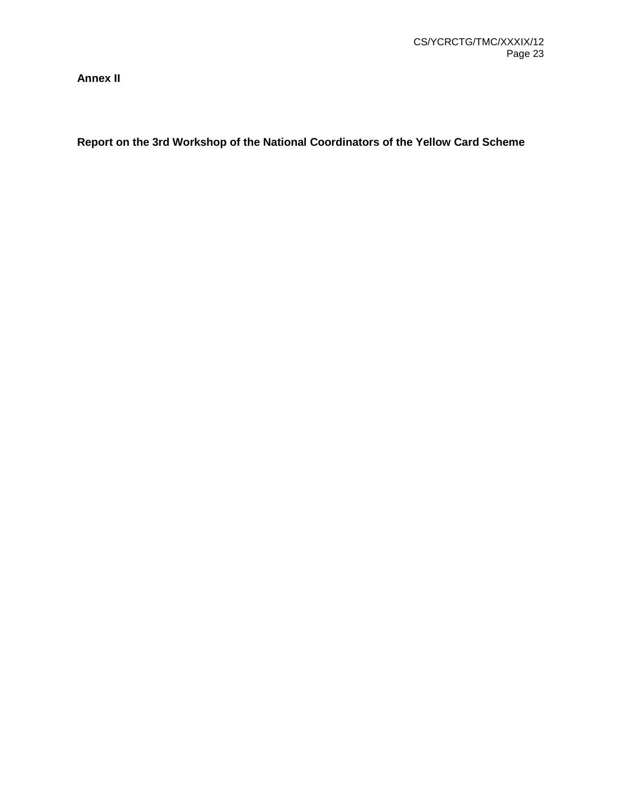**Annex II**

**Report on the 3rd Workshop of the National Coordinators of the Yellow Card Scheme**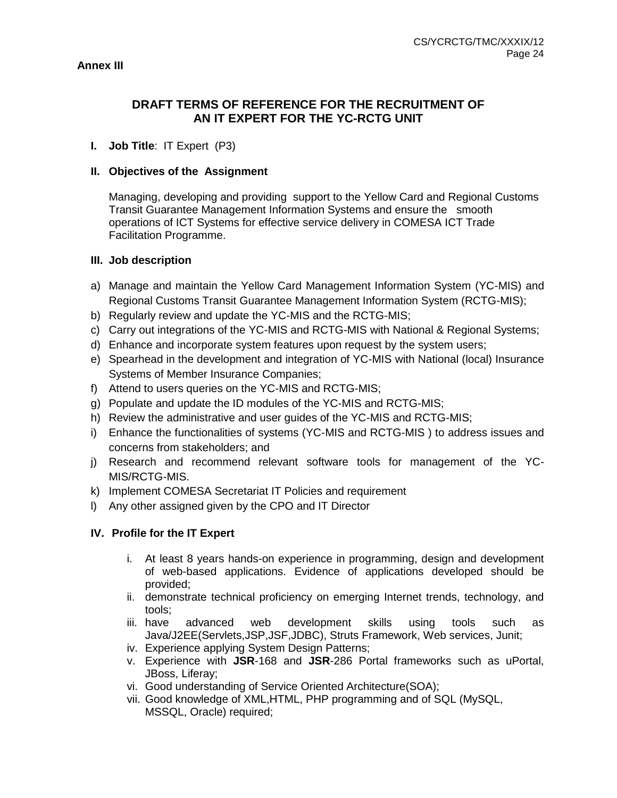## **DRAFT TERMS OF REFERENCE FOR THE RECRUITMENT OF AN IT EXPERT FOR THE YC-RCTG UNIT**

## **I. Job Title**: IT Expert (P3)

#### **II. Objectives of the Assignment**

Managing, developing and providing support to the Yellow Card and Regional Customs Transit Guarantee Management Information Systems and ensure the smooth operations of ICT Systems for effective service delivery in COMESA ICT Trade Facilitation Programme.

#### **III. Job description**

- a) Manage and maintain the Yellow Card Management Information System (YC-MIS) and Regional Customs Transit Guarantee Management Information System (RCTG-MIS);
- b) Regularly review and update the YC-MIS and the RCTG-MIS;
- c) Carry out integrations of the YC-MIS and RCTG-MIS with National & Regional Systems;
- d) Enhance and incorporate system features upon request by the system users;
- e) Spearhead in the development and integration of YC-MIS with National (local) Insurance Systems of Member Insurance Companies;
- f) Attend to users queries on the YC-MIS and RCTG-MIS;
- g) Populate and update the ID modules of the YC-MIS and RCTG-MIS;
- h) Review the administrative and user guides of the YC-MIS and RCTG-MIS;
- i) Enhance the functionalities of systems (YC-MIS and RCTG-MIS ) to address issues and concerns from stakeholders; and
- j) Research and recommend relevant software tools for management of the YC-MIS/RCTG-MIS.
- k) Implement COMESA Secretariat IT Policies and requirement
- l) Any other assigned given by the CPO and IT Director

## **IV. Profile for the IT Expert**

- i. At least 8 years hands-on experience in programming, design and development of web-based applications. Evidence of applications developed should be provided;
- ii. demonstrate technical proficiency on emerging Internet trends, technology, and tools;
- iii. have advanced web development skills using tools such as Java/J2EE(Servlets,JSP,JSF,JDBC), Struts Framework, Web services, Junit;
- iv. Experience applying System Design Patterns;
- v. Experience with **JSR**-168 and **JSR**-286 Portal frameworks such as uPortal, JBoss, Liferay;
- vi. Good understanding of Service Oriented Architecture(SOA);
- vii. Good knowledge of XML,HTML, PHP programming and of SQL (MySQL, MSSQL, Oracle) required;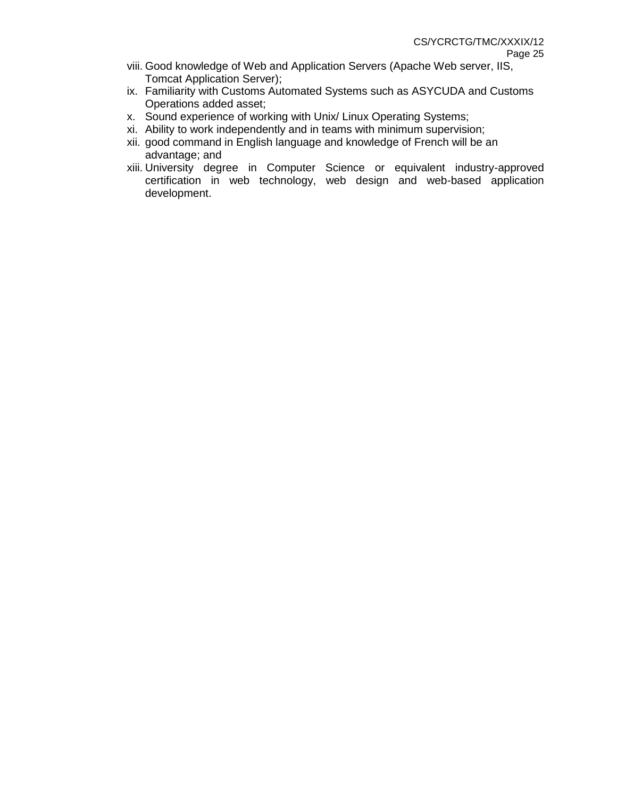- viii. Good knowledge of Web and Application Servers (Apache Web server, IIS, Tomcat Application Server);
- ix. Familiarity with Customs Automated Systems such as ASYCUDA and Customs Operations added asset;
- x. Sound experience of working with Unix/ Linux Operating Systems;
- xi. Ability to work independently and in teams with minimum supervision;
- xii. good command in English language and knowledge of French will be an advantage; and
- xiii. University degree in Computer Science or equivalent industry-approved certification in web technology, web design and web-based application development.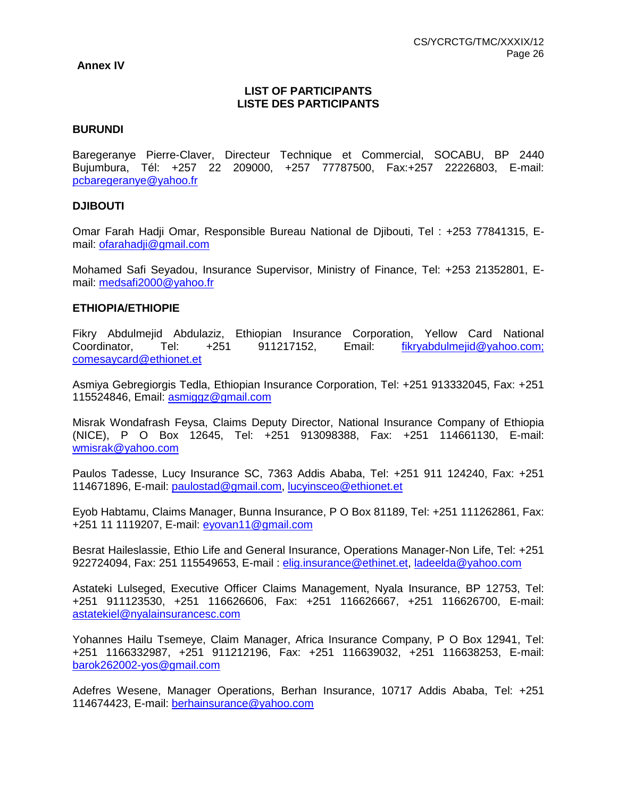#### **Annex IV**

### **LIST OF PARTICIPANTS LISTE DES PARTICIPANTS**

#### **BURUNDI**

Baregeranye Pierre-Claver, Directeur Technique et Commercial, SOCABU, BP 2440 Bujumbura, Tél: +257 22 209000, +257 77787500, Fax:+257 22226803, E-mail: [pcbaregeranye@yahoo.fr](mailto:pcbaregeranye@yahoo.fr)

#### **DJIBOUTI**

Omar Farah Hadji Omar, Responsible Bureau National de Djibouti, Tel : +253 77841315, Email: [ofarahadji@gmail.com](mailto:ofarahadji@gmail.com)

Mohamed Safi Seyadou, Insurance Supervisor, Ministry of Finance, Tel: +253 21352801, Email: [medsafi2000@yahoo.fr](mailto:medsafi2000@yahoo.fr)

#### **ETHIOPIA/ETHIOPIE**

Fikry Abdulmejid Abdulaziz, Ethiopian Insurance Corporation, Yellow Card National Coordinator, Tel: +251 911217152, Email: fikryabdulmejid@yahoo.com; comesaycard@ethionet.et

Asmiya Gebregiorgis Tedla, Ethiopian Insurance Corporation, Tel: +251 913332045, Fax: +251 115524846, Email: asmiggz@gmail.com

Misrak Wondafrash Feysa, Claims Deputy Director, National Insurance Company of Ethiopia (NICE), P O Box 12645, Tel: +251 913098388, Fax: +251 114661130, E-mail: [wmisrak@yahoo.com](mailto:wmisrak@yahoo.com)

Paulos Tadesse, Lucy Insurance SC, 7363 Addis Ababa, Tel: +251 911 124240, Fax: +251 114671896, E-mail: [paulostad@gmail.com,](mailto:paulostad@gmail.com) [lucyinsceo@ethionet.et](mailto:lucyinsceo@ethionet.et)

Eyob Habtamu, Claims Manager, Bunna Insurance, P O Box 81189, Tel: +251 111262861, Fax: +251 11 1119207, E-mail: [eyovan11@gmail.com](mailto:eyovan11@gmail.com)

Besrat Haileslassie, Ethio Life and General Insurance, Operations Manager-Non Life, Tel: +251 922724094, Fax: 251 115549653, E-mail : [elig.insurance@ethinet.et,](mailto:elig.insurance@ethinet.et) [ladeelda@yahoo.com](mailto:ladeelda@yahoo.com)

Astateki Lulseged, Executive Officer Claims Management, Nyala Insurance, BP 12753, Tel: +251 911123530, +251 116626606, Fax: +251 116626667, +251 116626700, E-mail: [astatekiel@nyalainsurancesc.com](mailto:astatekiel@nyalainsurancesc.com)

Yohannes Hailu Tsemeye, Claim Manager, Africa Insurance Company, P O Box 12941, Tel: +251 1166332987, +251 911212196, Fax: +251 116639032, +251 116638253, E-mail: [barok262002-yos@gmail.com](mailto:barok262002-yos@gmail.com)

Adefres Wesene, Manager Operations, Berhan Insurance, 10717 Addis Ababa, Tel: +251 114674423, E-mail: [berhainsurance@yahoo.com](mailto:berhainsurance@yahoo.com)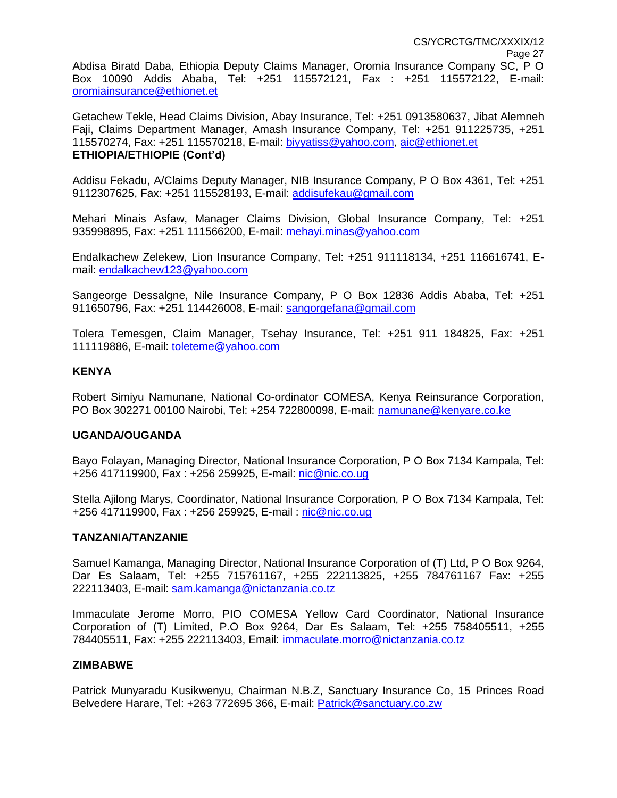Getachew Tekle, Head Claims Division, Abay Insurance, Tel: +251 0913580637, Jibat Alemneh Faji, Claims Department Manager, Amash Insurance Company, Tel: +251 911225735, +251 115570274, Fax: +251 115570218, E-mail: [biyyatiss@yahoo.com,](mailto:biyyatiss@yahoo.com) [aic@ethionet.et](mailto:aic@ethionet.et) **ETHIOPIA/ETHIOPIE (Cont'd)**

Addisu Fekadu, A/Claims Deputy Manager, NIB Insurance Company, P O Box 4361, Tel: +251 9112307625, Fax: +251 115528193, E-mail: [addisufekau@gmail.com](mailto:addisufekau@gmail.com)

Mehari Minais Asfaw, Manager Claims Division, Global Insurance Company, Tel: +251 935998895, Fax: +251 111566200, E-mail: [mehayi.minas@yahoo.com](mailto:mehayi.minas@yahoo.com)

Endalkachew Zelekew, Lion Insurance Company, Tel: +251 911118134, +251 116616741, Email: [endalkachew123@yahoo.com](mailto:endalkachew123@yahoo.com)

Sangeorge Dessalgne, Nile Insurance Company, P O Box 12836 Addis Ababa, Tel: +251 911650796, Fax: +251 114426008, E-mail: [sangorgefana@gmail.com](mailto:sangorgefana@gmail.com)

Tolera Temesgen, Claim Manager, Tsehay Insurance, Tel: +251 911 184825, Fax: +251 111119886, E-mail: [toleteme@yahoo.com](mailto:toleteme@yahoo.com)

## **KENYA**

Robert Simiyu Namunane, National Co-ordinator COMESA, Kenya Reinsurance Corporation, PO Box 302271 00100 Nairobi, Tel: +254 722800098, E-mail: [namunane@kenyare.co.ke](mailto:namunane@kenyare.co.ke)

#### **UGANDA/OUGANDA**

Bayo Folayan, Managing Director, National Insurance Corporation, P O Box 7134 Kampala, Tel: +256 417119900, Fax : +256 259925, E-mail: [nic@nic.co.ug](mailto:nic@nic.co.ug)

Stella Ajilong Marys, Coordinator, National Insurance Corporation, P O Box 7134 Kampala, Tel: +256 417119900, Fax : +256 259925, E-mail : [nic@nic.co.ug](mailto:nic@nic.co.ug)

#### **TANZANIA/TANZANIE**

Samuel Kamanga, Managing Director, National Insurance Corporation of (T) Ltd, P O Box 9264, Dar Es Salaam, Tel: +255 715761167, +255 222113825, +255 784761167 Fax: +255 222113403, E-mail: sam.kamanga@nictanzania.co.tz

Immaculate Jerome Morro, PIO COMESA Yellow Card Coordinator, National Insurance Corporation of (T) Limited, P.O Box 9264, Dar Es Salaam, Tel: +255 758405511, +255 784405511, Fax: +255 222113403, Email: [immaculate.morro@nictanzania.co.tz](mailto:immaculate.morro@nictanzania.co.tz)

#### **ZIMBABWE**

Patrick Munyaradu Kusikwenyu, Chairman N.B.Z, Sanctuary Insurance Co, 15 Princes Road Belvedere Harare, Tel: +263 772695 366, E-mail: Patrick@sanctuary.co.zw